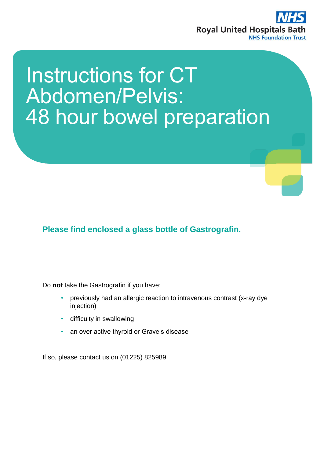

# Instructions for CT Abdomen/Pelvis: 48 hour bowel preparation

**Please find enclosed a glass bottle of Gastrografin.** 

Do **not** take the Gastrografin if you have:

- previously had an allergic reaction to intravenous contrast (x-ray dye injection)
- difficulty in swallowing
- an over active thyroid or Grave's disease

If so, please contact us on (01225) 825989.